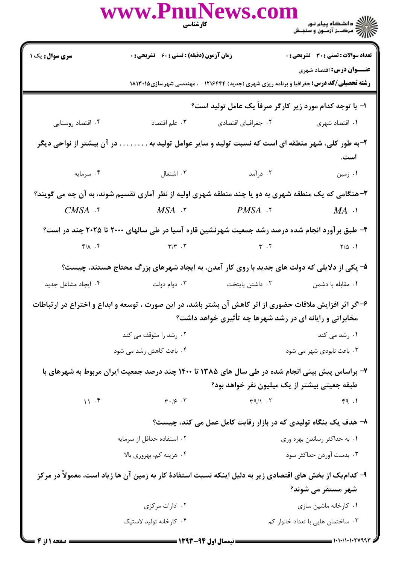|                                                                                                                                                                     | www.PnuNews.com                                                                         | <b>کارشناسی</b><br>مسینه | ے<br>حکالات دانشگاہ پیام نور<br>حکالات مرکز آزمون و سنجش                                                                        |  |
|---------------------------------------------------------------------------------------------------------------------------------------------------------------------|-----------------------------------------------------------------------------------------|--------------------------|---------------------------------------------------------------------------------------------------------------------------------|--|
| سری سوال: یک ۱                                                                                                                                                      | زمان آزمون (دقیقه) : تستی : ۶۰٪ تشریحی : ۰                                              |                          | <b>تعداد سوالات : تستی : 30 ٪ تشریحی : 0</b><br><b>عنـــوان درس:</b> اقتصاد شهری                                                |  |
|                                                                                                                                                                     |                                                                                         |                          | <b>رشته تحصیلی/کد درس:</b> جغرافیا و برنامه ریزی شهری (جدید) ۱۲۱۶۴۴۴ - ، مهندسی شهرسازی ۱۸۱۳۰۱۵                                 |  |
| ا- با توجه کدام مورد زیر کارگر صرفاً یک عامل تولید است؟                                                                                                             |                                                                                         |                          |                                                                                                                                 |  |
| ۰۴ اقتصاد روستایی                                                                                                                                                   | ۰۳ علم اقتصاد                                                                           | ۰۲ جغرافیای اقتصادی      | ۰۱ اقتصاد شهری                                                                                                                  |  |
| . در آن بیشتر از نواحی دیگر                                                                                                                                         |                                                                                         |                          | ۲-به طور کلی، شهر منطقه ای است که نسبت تولید و سایر عوامل تولید به<br>است.                                                      |  |
| ۰۴ سرمایه                                                                                                                                                           | ۰۲ درآمد اشتغال استغال باشتغال                                                          |                          | ۰۱ زمین                                                                                                                         |  |
|                                                                                                                                                                     |                                                                                         |                          | ۳-هنگامی که یک منطقه شهری به دو یا چند منطقه شهری اولیه از نظر آماری تقسیم شوند، به آن چه می گویند؟                             |  |
|                                                                                                                                                                     | $CMSA$ $\cdot$ $MSA$ $\cdot$ $}$ $PMSA$ $\cdot$ $MA$ $\cdot$                            |                          |                                                                                                                                 |  |
|                                                                                                                                                                     |                                                                                         |                          | ۴– طبق برآورد انجام شده درصد رشد جمعیت شهرنشین قاره آسیا در طی سالهای ۲۰۰۰ تا ۲۰۲۵ چند در است؟                                  |  |
|                                                                                                                                                                     | $\gamma/\gamma$ . T $\gamma/\gamma$ . T $\gamma$ is the contract of $\gamma/\Delta$ . T |                          |                                                                                                                                 |  |
|                                                                                                                                                                     |                                                                                         |                          | ۵– یکی از دلایلی که دولت های جدید با روی کار آمدن، به ایجاد شهرهای بزرگ محتاج هستند، چیست؟                                      |  |
| ۰۴ ایجاد مشاغل جدید                                                                                                                                                 | دوام دولت $\cdot$ ۳ .                                                                   | ۰۲ داشتن پایتخت          | ۰۱ مقابله با دشمن                                                                                                               |  |
| ۶-اگر اثر افزایش ملاقات حضوری از اثر کاهش آن بشتر باشد، در این صورت ، توسعه و ابداع و اختراع در ارتباطات<br>مخابراتی و رایانه ای در رشد شهرها چه تأثیری خواهد داشت؟ |                                                                                         |                          |                                                                                                                                 |  |
|                                                                                                                                                                     | ۰۲ رشد را متوقف می کند                                                                  |                          | ۰۱ رشد می کند                                                                                                                   |  |
|                                                                                                                                                                     | ۰۴ باعث کاهش رشد می شود                                                                 |                          | ۰۳ باعث نابودی شهر می شود                                                                                                       |  |
| ۷- براساس پیش بینی انجام شده در طی سال های ۱۳۸۵ تا ۱۴۰۰ چند درصد جمعیت ایران مربوط به شهرهای با<br>طبقه جعیتی بیشتر از یک میلیون نفر خواهد بود؟                     |                                                                                         |                          |                                                                                                                                 |  |
| 11.5                                                                                                                                                                | $\mathbf{r} \cdot \mathbf{s}$ . $\mathbf{r}$                                            | $\uparrow q/\uparrow$ .  | f9.1                                                                                                                            |  |
|                                                                                                                                                                     |                                                                                         |                          | ۸- هدف یک بنگاه تولیدی که در بازار رقابت کامل عمل می کند، چیست؟                                                                 |  |
|                                                                                                                                                                     | ۰۲ استفاده حداقل از سرمایه                                                              |                          | ۰۱ به حداکثر رساندن بهره وری                                                                                                    |  |
|                                                                                                                                                                     | ۰۴ هزینه کم، بهروری بالا                                                                |                          | ۰۳ بدست آوردن حداکثر سود                                                                                                        |  |
|                                                                                                                                                                     |                                                                                         |                          | ۹- کدام یک از بخش های اقتصادی زیر به دلیل اینکه نسبت استفادهٔ کار به زمین آن ها زیاد است، معمولاً در مرکز<br>شهر مستقر می شوند؟ |  |
|                                                                                                                                                                     | ۰۲ ادارات مرکزی                                                                         |                          | ۰۱ کارخانه ماشین سازی                                                                                                           |  |
|                                                                                                                                                                     | ۰۴ کارخانه تولید لاستیک                                                                 |                          | ۰۳ ساختمان هایی با تعداد خانوار کم                                                                                              |  |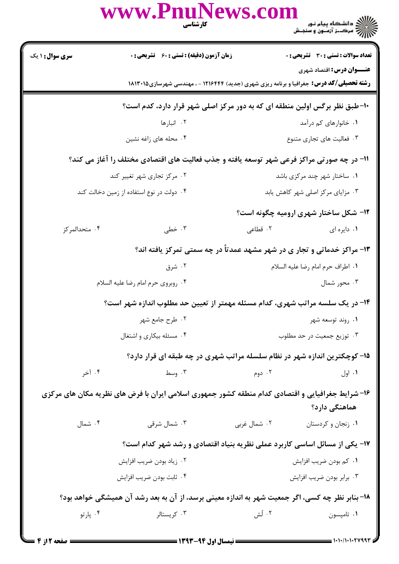|                                                                                           | www.PnuNews.com<br>كارشناسي                                                                       |              | ے<br>حوالے دانشگاہ پیام نور<br>حوالے مرکز آزمنوں و سنجش |  |
|-------------------------------------------------------------------------------------------|---------------------------------------------------------------------------------------------------|--------------|---------------------------------------------------------|--|
| <b>سری سوال : ۱ یک</b>                                                                    | <b>زمان آزمون (دقیقه) : تستی : 60 ٪ تشریحی : 0</b>                                                |              | تعداد سوالات : تستي : 30 - تشريحي : 0                   |  |
|                                                                                           | <b>رشته تحصیلی/کد درس:</b> جغرافیا و برنامه ریزی شهری (جدید) ۱۲۱۶۴۴۴ - ، مهندسی شهرسازی۱۸۱۳۰۱۵    |              | <b>عنـــوان درس:</b> اقتصاد شهری                        |  |
|                                                                                           | ۱۰-طبق نظر برگس اولین منطقه ای که به دور مرکز اصلی شهر قرار دارد، کدم است؟                        |              |                                                         |  |
|                                                                                           | ۰۲ انبارها                                                                                        |              | ۰۱ خانوارهای کم درآمد                                   |  |
|                                                                                           | ۰۴ محله های زاغه نشین                                                                             |              | ۰۳ فعالیت های تجاری متنوع                               |  |
| 11- در چه صورتی مراکز فرعی شهر توسعه یافته و جذب فعالیت های اقتصادی مختلف را آغاز می کند؟ |                                                                                                   |              |                                                         |  |
|                                                                                           | ۰۲ مرکز تجاری شهر تغییر کند                                                                       |              | ۰۱ ساختار شهر چند مرکزی باشد                            |  |
|                                                                                           | ۰۴ دولت در نوع استفاده از زمین دخالت کند                                                          |              | ۰۳ مزایای مرکز اصلی شهر کاهش یابد                       |  |
|                                                                                           |                                                                                                   |              | <b>۱۲- شکل ساختار شهری ارومیه چگونه است</b> ؟           |  |
| ۰۴ متحدالمرکز                                                                             | ۰۳ خطی                                                                                            | ۲. قطاعی     | ۰۱ دایره ای                                             |  |
|                                                                                           | ۱۳- مراکز خدماتی و تجار ی در شهر مشهد عمدتاً در چه سمتی تمرکز یافته اند؟                          |              |                                                         |  |
|                                                                                           | ۰۲ شرق                                                                                            |              | ٠١ اطراف حرم امام رضا عليه السلام                       |  |
|                                                                                           | ۰۴ روبروي حرم امام رضا عليه السلام                                                                |              | ۰۳ محور شمال                                            |  |
|                                                                                           | ۱۴- در یک سلسه مراتب شهری، کدام مسئله مهمتر از تعیین حد مطلوب اندازه شهر است؟                     |              |                                                         |  |
|                                                                                           | ۰۲ طرح جامع شهر                                                                                   |              | ۰۱ روند توسعه شهر                                       |  |
|                                                                                           | ۰۴ مسئله بیکاری و اشتغال                                                                          |              | ۰۳ توزیع جمعیت در حد مطلوب                              |  |
|                                                                                           | ۱۵- کوچکترین اندازه شهر در نظام سلسله مراتب شهری در چه طبقه ای قرار دارد؟                         |              |                                                         |  |
| ۰۴ آخر                                                                                    | ۰۳ وسط                                                                                            | ۰۲ دوم       | ۰۱ اول                                                  |  |
|                                                                                           | ۱۶- شرایط جغرافیایی و اقتصادی کدام منطقه کشور جمهوری اسلامی ایران با فرض های نظریه مکان های مرکزی |              | هماهنگی دارد؟                                           |  |
| ۰۴ شمال                                                                                   | ۰۳ شمال شرقی                                                                                      | ۰۲ شمال غربی | ۰۱ زنجان و کردستان                                      |  |
|                                                                                           | ۱۷- یکی از مسائل اساسی کاربرد عملی نظریه بنیاد اقتصادی و رشد شهر کدام است؟                        |              |                                                         |  |
|                                                                                           | ۰۲ زیاد بودن ضریب افزایش                                                                          |              | ۰۱ کم بودن ضریب افزایش                                  |  |
|                                                                                           | ۰۴ ثابت بودن ضريب افزايش                                                                          |              | ۰۳ برابر بودن ضريب افزايش                               |  |
|                                                                                           | ۱۸- بنابر نظر چه کسی، اگر جمعیت شهر به اندازه معینی برسد، از آن به بعد رشد آن همیشگی خواهد بود؟   |              |                                                         |  |
| ۰۴ پارتو                                                                                  | ۰۳ کریستالر                                                                                       | ۰۲ لُش       | ۰۱ تامپسون                                              |  |
|                                                                                           |                                                                                                   |              |                                                         |  |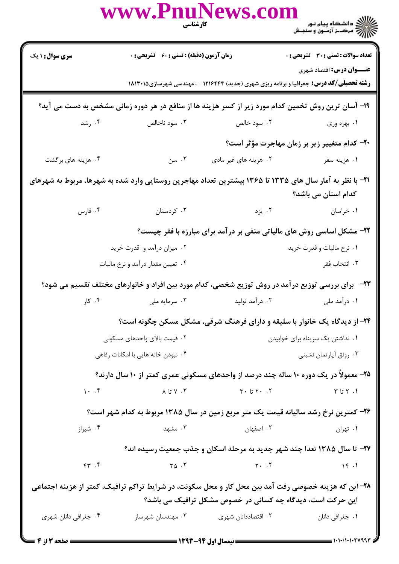|                                                                                                                                 | www.PnuNews.com                                                                                                                                                                                                                                                                                                                                                                                                                                                                        | <b>کار شناسی</b><br>مناس                                   |                                                                                                |  |
|---------------------------------------------------------------------------------------------------------------------------------|----------------------------------------------------------------------------------------------------------------------------------------------------------------------------------------------------------------------------------------------------------------------------------------------------------------------------------------------------------------------------------------------------------------------------------------------------------------------------------------|------------------------------------------------------------|------------------------------------------------------------------------------------------------|--|
| <b>سری سوال :</b> ۱ یک                                                                                                          | <b>زمان آزمون (دقیقه) : تستی : 60 گشریحی : 0</b>                                                                                                                                                                                                                                                                                                                                                                                                                                       |                                                            | <b>تعداد سوالات : تستی : 30 ٪ تشریحی : 0</b>                                                   |  |
|                                                                                                                                 |                                                                                                                                                                                                                                                                                                                                                                                                                                                                                        |                                                            | <b>عنـــوان درس:</b> اقتصاد شهری                                                               |  |
|                                                                                                                                 |                                                                                                                                                                                                                                                                                                                                                                                                                                                                                        |                                                            | <b>رشته تحصیلی/کد درس:</b> جغرافیا و برنامه ریزی شهری (جدید) ۱۲۱۶۴۴۴ - ، مهندسی شهرسازی۱۸۱۳۰۱۵ |  |
| ۱۹- آسان ترین روش تخمین کدام مورد زیر از کسر هزینه ها از منافع در هر دوره زمانی مشخص به دست می آید؟                             |                                                                                                                                                                                                                                                                                                                                                                                                                                                                                        |                                                            |                                                                                                |  |
|                                                                                                                                 | ۰۲ سود خالص سال ۲۰۰۳ سود ناخالص در شد. ۴۰۰ سود میباشد که در سود خالص میباشد که میباشد و سال ۲۰۰                                                                                                                                                                                                                                                                                                                                                                                        |                                                            | ۰۱ بهره وری                                                                                    |  |
|                                                                                                                                 |                                                                                                                                                                                                                                                                                                                                                                                                                                                                                        |                                                            | ۲۰– کدام متغییر زیر بر زمان مهاجرت مؤثر است؟                                                   |  |
| ۰۴ هزینه های برگشت                                                                                                              | . سن $\cdot$ , $\mathsf{r}$                                                                                                                                                                                                                                                                                                                                                                                                                                                            | ۰۲ هزینه های غیر مادی                                      | ۰۱ هزینه سفر                                                                                   |  |
| ۲۱– با نظر به آمار سال های ۱۳۳۵ تا ۱۳۶۵ بیشترین تعداد مهاجرین روستایی وارد شده به شهرها، مربوط به شهرهای<br>کدام استان می باشد؟ |                                                                                                                                                                                                                                                                                                                                                                                                                                                                                        |                                                            |                                                                                                |  |
|                                                                                                                                 | ۰۳ کردستان میشود. ۴ مارس                                                                                                                                                                                                                                                                                                                                                                                                                                                               | ۰۱ خراسان است. ۲۰ یزد                                      |                                                                                                |  |
|                                                                                                                                 |                                                                                                                                                                                                                                                                                                                                                                                                                                                                                        |                                                            | ۲۲- مشکل اساسی روش های مالیاتی منفی بر درآمد برای مبارزه با فقر چیست؟                          |  |
|                                                                                                                                 | ۰۲ میزان درآمد و قدرت خرید                                                                                                                                                                                                                                                                                                                                                                                                                                                             |                                                            | ۰۱ نرخ مالیات و قدرت خرید                                                                      |  |
|                                                                                                                                 | ۰۴ تعیین مقدار درآمد و نرخ مالیات                                                                                                                                                                                                                                                                                                                                                                                                                                                      |                                                            | ۰۳ انتخاب فقر                                                                                  |  |
| ۲۳-۔ برای بررسی توزیع درآمد در روش توزیع شخصی، کدام مورد بین افراد و خانوارهای مختلف تقسیم می شود؟                              |                                                                                                                                                                                                                                                                                                                                                                                                                                                                                        |                                                            |                                                                                                |  |
|                                                                                                                                 | ۰۱ درآمد ملی سیست ۲۰ درآمد تولید مسی سیست ۲۰ در است ملی سیست ۲۰ کار . ۴                                                                                                                                                                                                                                                                                                                                                                                                                |                                                            |                                                                                                |  |
|                                                                                                                                 |                                                                                                                                                                                                                                                                                                                                                                                                                                                                                        |                                                            | ۲۴- از دیدگاه یک خانوار با سلیقه و دارای فرهنگ شرقی، مشکل مسکن چگونه است؟                      |  |
|                                                                                                                                 | ۰۲ قیمت بالای واحدهای مسکونی                                                                                                                                                                                                                                                                                                                                                                                                                                                           |                                                            | ۰۱ نداشتن یک سرپناه برای خوابیدن                                                               |  |
|                                                                                                                                 | ۰۴ نبودن خانه هایی با امکانات رفاهی                                                                                                                                                                                                                                                                                                                                                                                                                                                    |                                                            | ۰۳ رونق أپارتمان نشيني                                                                         |  |
|                                                                                                                                 |                                                                                                                                                                                                                                                                                                                                                                                                                                                                                        |                                                            | ۲۵- معمولاً در یک دوره ۱۰ ساله چند درصد از واحدهای مسکونی عمری کمتر از ۱۰ سال دارند؟           |  |
|                                                                                                                                 | $\mathcal{N} \cup \mathcal{N} \cup \mathcal{N} \cup \mathcal{N} \cup \mathcal{N} \cup \mathcal{N} \cup \mathcal{N} \cup \mathcal{N} \cup \mathcal{N} \cup \mathcal{N} \cup \mathcal{N} \cup \mathcal{N} \cup \mathcal{N} \cup \mathcal{N} \cup \mathcal{N} \cup \mathcal{N} \cup \mathcal{N} \cup \mathcal{N} \cup \mathcal{N} \cup \mathcal{N} \cup \mathcal{N} \cup \mathcal{N} \cup \mathcal{N} \cup \mathcal{N} \cup \mathcal{N} \cup \mathcal{N} \cup \mathcal{N} \cup \mathcal{$ |                                                            |                                                                                                |  |
| ۲۶- کمترین نرخ رشد سالیانه قیمت یک متر مربع زمین در سال ۱۳۸۵ مربوط به کدام شهر است؟                                             |                                                                                                                                                                                                                                                                                                                                                                                                                                                                                        |                                                            |                                                                                                |  |
| ۰۴ شیراز                                                                                                                        | ۰۳ مشهد                                                                                                                                                                                                                                                                                                                                                                                                                                                                                | ۰۲ اصفهان استان                                            | ۰۱ تهران                                                                                       |  |
|                                                                                                                                 |                                                                                                                                                                                                                                                                                                                                                                                                                                                                                        |                                                            | ۲۷- تا سال ۱۳۸۵ تعدا چند شهر جدید به مرحله اسکان و جذب جمعیت رسیده اند؟                        |  |
|                                                                                                                                 |                                                                                                                                                                                                                                                                                                                                                                                                                                                                                        |                                                            |                                                                                                |  |
| ۲۸- این که هزینه خصوصی رفت آمد بین محل کار و محل سکونت، در شرایط تراکم ترافیک، کمتر از هزینه اجتماعی                            |                                                                                                                                                                                                                                                                                                                                                                                                                                                                                        |                                                            |                                                                                                |  |
|                                                                                                                                 |                                                                                                                                                                                                                                                                                                                                                                                                                                                                                        | این حرکت است، دیدگاه چه کسانی در خصوص مشکل ترافیک می باشد؟ |                                                                                                |  |
| ۰۴ جغرافی دانان شهری                                                                                                            | ۰۳ مهندسان شهرساز                                                                                                                                                                                                                                                                                                                                                                                                                                                                      | ۰۲ اقتصاددانان شهری                                        | ۰۱ جغرافي دانان                                                                                |  |